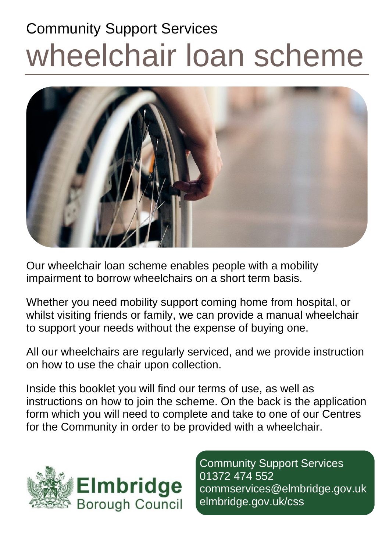# Community Support Services wheelchair loan scheme



Our wheelchair loan scheme enables people with a mobility impairment to borrow wheelchairs on a short term basis.

Whether you need mobility support coming home from hospital, or whilst visiting friends or family, we can provide a manual wheelchair to support your needs without the expense of buying one.

All our wheelchairs are regularly serviced, and we provide instruction on how to use the chair upon collection.

Inside this booklet you will find our terms of use, as well as instructions on how to join the scheme. On the back is the application form which you will need to complete and take to one of our Centres for the Community in order to be provided with a wheelchair.



Community Support Services 01372 474 552 commservices@elmbridge.gov.uk elmbridge.gov.uk/css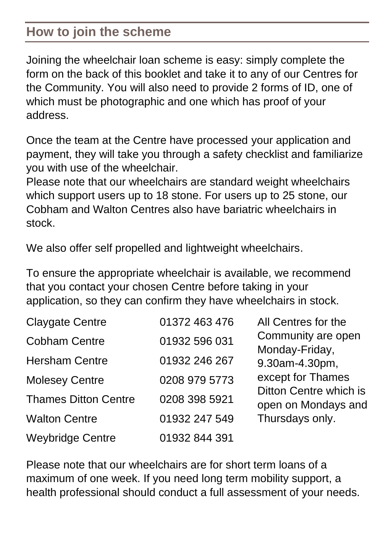### **How to join the scheme**

Joining the wheelchair loan scheme is easy: simply complete the form on the back of this booklet and take it to any of our Centres for the Community. You will also need to provide 2 forms of ID, one of which must be photographic and one which has proof of your address.

Once the team at the Centre have processed your application and payment, they will take you through a safety checklist and familiarize you with use of the wheelchair.

Please note that our wheelchairs are standard weight wheelchairs which support users up to 18 stone. For users up to 25 stone, our Cobham and Walton Centres also have bariatric wheelchairs in stock.

We also offer self propelled and lightweight wheelchairs.

To ensure the appropriate wheelchair is available, we recommend that you contact your chosen Centre before taking in your application, so they can confirm they have wheelchairs in stock.

| <b>Claygate Centre</b>      | 01372 463 476 | All Centres for the                           |  |
|-----------------------------|---------------|-----------------------------------------------|--|
| <b>Cobham Centre</b>        | 01932 596 031 | Community are open<br>Monday-Friday,          |  |
| <b>Hersham Centre</b>       | 01932 246 267 | 9.30am-4.30pm,                                |  |
| <b>Molesey Centre</b>       | 0208 979 5773 | except for Thames                             |  |
| <b>Thames Ditton Centre</b> | 0208 398 5921 | Ditton Centre which is<br>open on Mondays and |  |
| <b>Walton Centre</b>        | 01932 247 549 | Thursdays only.                               |  |
| <b>Weybridge Centre</b>     | 01932 844 391 |                                               |  |

Please note that our wheelchairs are for short term loans of a maximum of one week. If you need long term mobility support, a health professional should conduct a full assessment of your needs.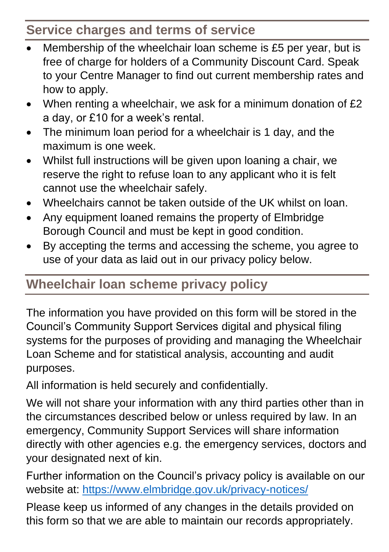## **Service charges and terms of service**

- Membership of the wheelchair loan scheme is £5 per year, but is free of charge for holders of a Community Discount Card. Speak to your Centre Manager to find out current membership rates and how to apply.
- When renting a wheelchair, we ask for a minimum donation of £2 a day, or £10 for a week's rental.
- The minimum loan period for a wheelchair is 1 day, and the maximum is one week.
- Whilst full instructions will be given upon loaning a chair, we reserve the right to refuse loan to any applicant who it is felt cannot use the wheelchair safely.
- Wheelchairs cannot be taken outside of the UK whilst on loan.
- Any equipment loaned remains the property of Elmbridge Borough Council and must be kept in good condition.
- By accepting the terms and accessing the scheme, you agree to use of your data as laid out in our privacy policy below.

## **Wheelchair loan scheme privacy policy**

The information you have provided on this form will be stored in the Council's Community Support Services digital and physical filing systems for the purposes of providing and managing the Wheelchair Loan Scheme and for statistical analysis, accounting and audit purposes.

All information is held securely and confidentially.

We will not share your information with any third parties other than in the circumstances described below or unless required by law. In an emergency, Community Support Services will share information directly with other agencies e.g. the emergency services, doctors and your designated next of kin.

Further information on the Council's privacy policy is available on our website at: <https://www.elmbridge.gov.uk/privacy-notices/>

Please keep us informed of any changes in the details provided on this form so that we are able to maintain our records appropriately.